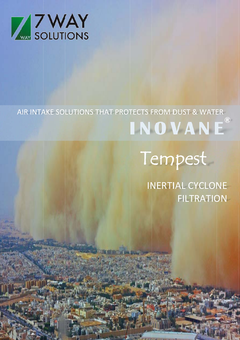

# AIR INTAKE SOLUTIONS THAT PROTECTS FROM DUST & WATER  $\overline{R}$ INOVANE

oten William

# Tempest

**INERTIAL CYCLONE FILTRATION** 

**This is**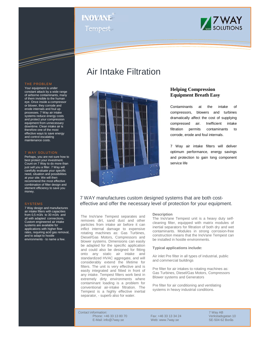# **® INOVANE** Tempest



#### THE PROBLEM

a da kasar Tanzania da Kasar Tanzania da Kasar Tanzania da Kasar Tanzania da Kasar Tanzania da Kasar Tanzania<br>Kasar Indonesia

Your equipment is under constant attack by a wide range of airborne contaminants, many of them invisible to the human eye. Once inside a compressor or blower, they corrode and erode internals and foul up processes. 7 Way air intake systems reduce energy costs and protect your compression equipment from unnecessary downtime. Clean intake air is therefore one of the most effective ways to save energy and control escalating maintenance costs.

#### 7 WAY SOLUTION

Perhaps, you are not sure how to best protect your investment. Count on 7 Way to do more than just sell you a filter. 7 Way will carefully evaluate your specific need, situation and possibilities at your site. We will then recommend the most effective combination of filter design and element efficiency to save you money.

#### SYSTEMS

7 Way design and manufactures air intake filters with capacities from 0,5 m3/s to 30 m3/s and all with adapted connections. Custom engineered air intake systems are available for applications with higher flow rates, requiring acid gas removal, and to adapt to hostile environments - to name a few.

## Air Intake Filtration



## **Helping Compression Equipment Breath Easy**

Contaminants at the intake of compressors, blowers and turbines dramatically affect the cost of supplying compressed air. Inefficient intake filtration permits contaminants to corrode, erode and foul internals.

7 Way air intake filters will deliver optimum performance, energy savings and protection to gain long component service life

## 7 WAY manufactures custom designed systems that are both costeffective and offer the necessary level of protection for your equipment.

The InoVane Tempest separates and removes dirt, sand dust and other particles from intake air before it can inflict internal damage to expensive rotating machines as: Gas Turbines, Diesel/Gas Motors, Compressors and blower systems. Dimensions can easily be adapted for the specific application and could also be designed for fitting onto any static air intake and standardized HVAC aggregate, and will considerably extend the lifetime for filters. The unit is very effective and is easily integrated and fitted in front of any intake. Tempest filters work best in extremely dirty environments where contaminant loading is a problem for conventional air-intake filtration. The Tempest is a highly effective inertial separator, - superb also for water.

#### **Description**

The InoVane Tempest unit is a heavy duty selfcleaning filter, equipped with matrix modules of inertial separators for filtration of both dry and wet contaminants. Modules in strong corrosion-free construction means that the InoVane Tempest can be installed in hostile environments.

#### **Typical applications include:**

Air inlet Pre filter in all types of industrial, public and commercial buildings

Pre filter for air intakes to rotating machines as: Gas Turbines, Diesel/Gas Motors, Compressors Blower systems and Generators

Pre filter for air conditioning and ventilating systems in heavy industrial conditions.

*Contact information:* 7 Way AB Phone: +46 33 13 80 70 Fax: +46 33 13 34 24 Verkstadsgatan 1<br>E-Mail: info@7wav.se Web: www.7wav.se SE-504 62 Borås E-Mail: info@7way.se